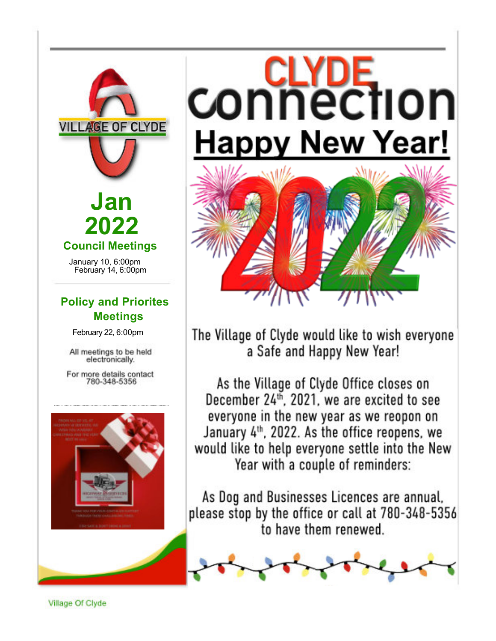



# **CONNECTION Happy New Year!**



The Village of Clyde would like to wish everyone a Safe and Happy New Year!

As the Village of Clyde Office closes on December 24<sup>th</sup>, 2021, we are excited to see everyone in the new year as we reopon on January 4<sup>th</sup>, 2022. As the office reopens, we would like to help everyone settle into the New Year with a couple of reminders:

As Dog and Businesses Licences are annual, please stop by the office or call at 780-348-5356 to have them renewed.



Village Of Clyde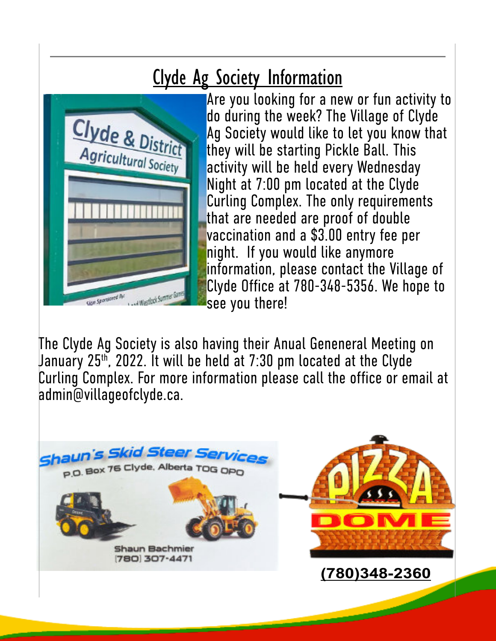### Clyde Ag Society Information



Are you looking for a new or fun activity to do during the week? The Village of Clyde Ag Society would like to let you know that they will be starting Pickle Ball. This activity will be held every Wednesday Night at 7:00 pm located at the Clyde Curling Complex. The only requirements that are needed are proof of double vaccination and a \$3.00 entry fee per night. If you would like anymore information, please contact the Village of Clyde Office at 780-348-5356. We hope to see you there!

The Clyde Ag Society is also having their Anual Geneneral Meeting on January 25th, 2022. It will be held at 7:30 pm located at the Clyde Curling Complex. For more information please call the office or email at admin@villageofclyde.ca.

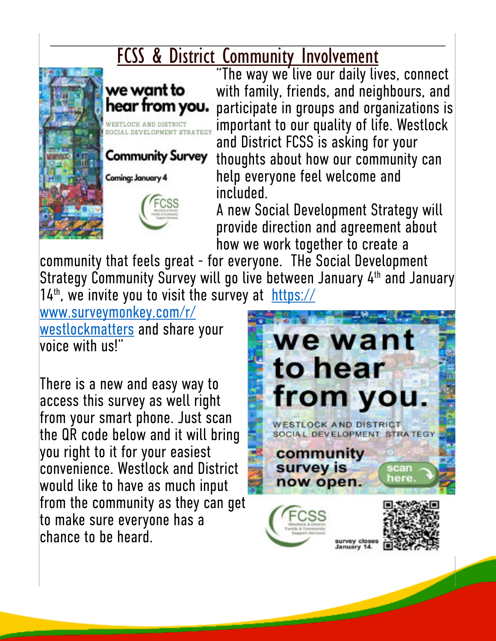### **FCSS & District Community Involvement**



we want to hear from you. ESTLOCK AND DISTRICT **CCIAL DEVELOPMENT STRAT** 

**Community Survey** 



Coming: January 4

"The way we live our daily lives, connect with family, friends, and neighbours, and participate in groups and organizations is important to our quality of life. Westlock and District FCSS is asking for your thoughts about how our community can help everyone feel welcome and included.

A new Social Development Strategy will provide direction and agreement about how we work together to create a

community that feels great - for everyone. THe Social Development Strategy Community Survey will go live between January 4<sup>th</sup> and January  $14<sup>th</sup>$ , we invite you to visit the survey at https://

www.surveymonkey.com/r/ westlockmatters and share your voice with us!"

There is a new and easy way to access this survey as well right from your smart phone. Just scan the QR code below and it will bring you right to it for your easiest convenience. Westlock and District would like to have as much input from the community as they can get to make sure everyone has a chance to be heard.